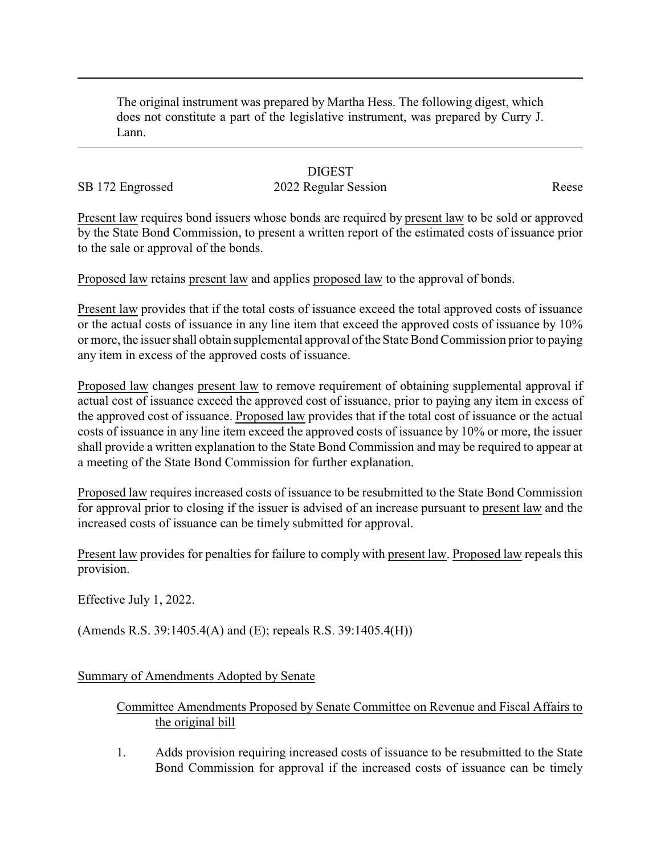The original instrument was prepared by Martha Hess. The following digest, which does not constitute a part of the legislative instrument, was prepared by Curry J. Lann.

## **DIGEST**

## SB 172 Engrossed 2022 Regular Session Reese

Present law requires bond issuers whose bonds are required by present law to be sold or approved by the State Bond Commission, to present a written report of the estimated costs of issuance prior to the sale or approval of the bonds.

Proposed law retains present law and applies proposed law to the approval of bonds.

Present law provides that if the total costs of issuance exceed the total approved costs of issuance or the actual costs of issuance in any line item that exceed the approved costs of issuance by 10% or more, the issuer shall obtain supplemental approval of the State Bond Commission prior to paying any item in excess of the approved costs of issuance.

Proposed law changes present law to remove requirement of obtaining supplemental approval if actual cost of issuance exceed the approved cost of issuance, prior to paying any item in excess of the approved cost of issuance. Proposed law provides that if the total cost of issuance or the actual costs of issuance in any line item exceed the approved costs of issuance by 10% or more, the issuer shall provide a written explanation to the State Bond Commission and may be required to appear at a meeting of the State Bond Commission for further explanation.

Proposed law requires increased costs of issuance to be resubmitted to the State Bond Commission for approval prior to closing if the issuer is advised of an increase pursuant to present law and the increased costs of issuance can be timely submitted for approval.

Present law provides for penalties for failure to comply with present law. Proposed law repeals this provision.

Effective July 1, 2022.

(Amends R.S. 39:1405.4(A) and (E); repeals R.S. 39:1405.4(H))

Summary of Amendments Adopted by Senate

## Committee Amendments Proposed by Senate Committee on Revenue and Fiscal Affairs to the original bill

1. Adds provision requiring increased costs of issuance to be resubmitted to the State Bond Commission for approval if the increased costs of issuance can be timely